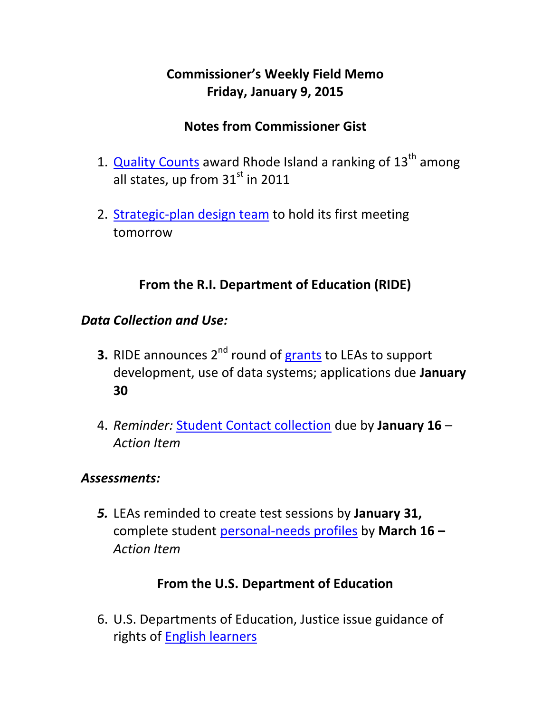# **Commissioner's Weekly Field Memo Friday, January 9, 2015**

## **Notes from Commissioner Gist**

- 1. **[Quality Counts](#page-1-0)** award Rhode Island a ranking of 13<sup>th</sup> among all states, up from  $31<sup>st</sup>$  in 2011
- 2. [Strategic-plan design team](#page-2-0) to hold its first meeting tomorrow

# **From the R.I. Department of Education (RIDE)**

### *Data Collection and Use:*

- **3.** RIDE announces 2<sup>nd</sup> round of [grants](#page-3-0) to LEAs to support development, use of data systems; applications due **January 30**
- 4. *Reminder:* [Student Contact collection](#page-4-0) due by **January 16**  *Action Item*

### *Assessments:*

*5.* LEAs reminded to create test sessions by **January 31,**  complete student [personal-needs profiles](#page-5-0) by **March 16 –** *Action Item*

## **From the U.S. Department of Education**

6. U.S. Departments of Education, Justice issue guidance of rights of [English learners](#page-6-0)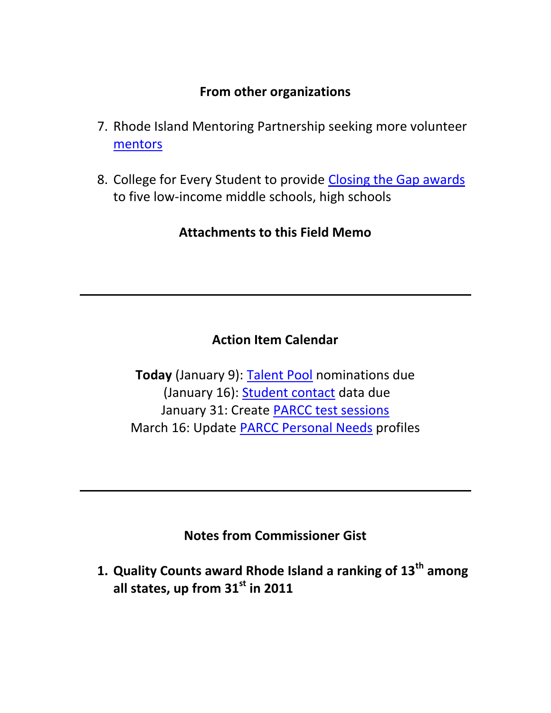#### **From other organizations**

- 7. Rhode Island Mentoring Partnership seeking more volunteer [mentors](#page-7-0)
- 8. College for Every Student to provide [Closing the Gap awards](#page-8-0) to five low-income middle schools, high schools

**Attachments to this Field Memo**

# **Action Item Calendar**

**Today** (January 9): [Talent Pool](http://www.ride.ri.gov/Portals/0/Uploads/Documents/FieldMemos/Document1120514-FM.pdf) nominations due (January 16): [Student contact](http://www.ride.ri.gov/Portals/0/Uploads/Documents/FieldMemos/121914-FM.pdf) data due January 31: Create [PARCC test sessions](http://www.ride.ri.gov/Portals/0/Uploads/Documents/FieldMemos/010215-FM.pdf) March 16: Update [PARCC Personal Needs](http://www.ride.ri.gov/Portals/0/Uploads/Documents/FieldMemos/010215-FM.pdf) profiles

**Notes from Commissioner Gist**

<span id="page-1-0"></span>**1. Quality Counts award Rhode Island a ranking of 13th among all states, up from 31st in 2011**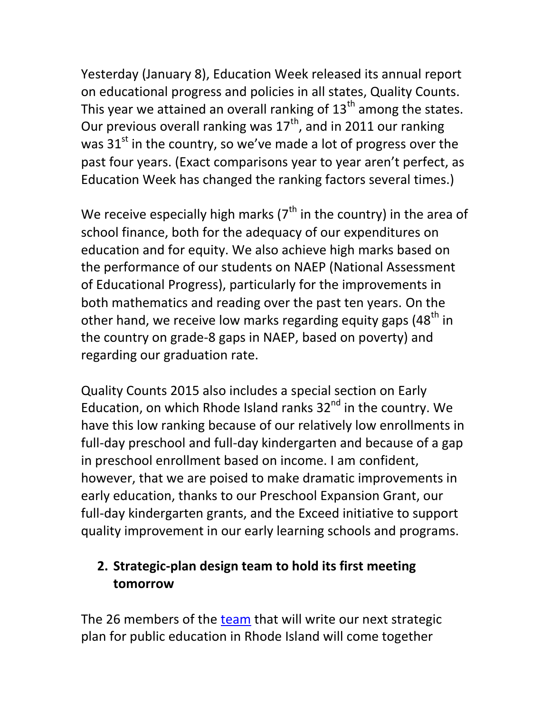Yesterday (January 8), Education Week released its annual report on educational progress and policies in all states, Quality Counts. This year we attained an overall ranking of  $13<sup>th</sup>$  among the states. Our previous overall ranking was  $17<sup>th</sup>$ , and in 2011 our ranking was  $31<sup>st</sup>$  in the country, so we've made a lot of progress over the past four years. (Exact comparisons year to year aren't perfect, as Education Week has changed the ranking factors several times.)

We receive especially high marks ( $7<sup>th</sup>$  in the country) in the area of school finance, both for the adequacy of our expenditures on education and for equity. We also achieve high marks based on the performance of our students on NAEP (National Assessment of Educational Progress), particularly for the improvements in both mathematics and reading over the past ten years. On the other hand, we receive low marks regarding equity gaps (48<sup>th</sup> in the country on grade-8 gaps in NAEP, based on poverty) and regarding our graduation rate.

Quality Counts 2015 also includes a special section on Early Education, on which Rhode Island ranks  $32<sup>nd</sup>$  in the country. We have this low ranking because of our relatively low enrollments in full-day preschool and full-day kindergarten and because of a gap in preschool enrollment based on income. I am confident, however, that we are poised to make dramatic improvements in early education, thanks to our Preschool Expansion Grant, our full-day kindergarten grants, and the Exceed initiative to support quality improvement in our early learning schools and programs.

# <span id="page-2-0"></span>**2. Strategic-plan design team to hold its first meeting tomorrow**

The 26 members of the [team](http://www.ride.ri.gov/BoardofEducation/RI2015-2020StrategicPlanforEducation.aspx#23852-design-team) that will write our next strategic plan for public education in Rhode Island will come together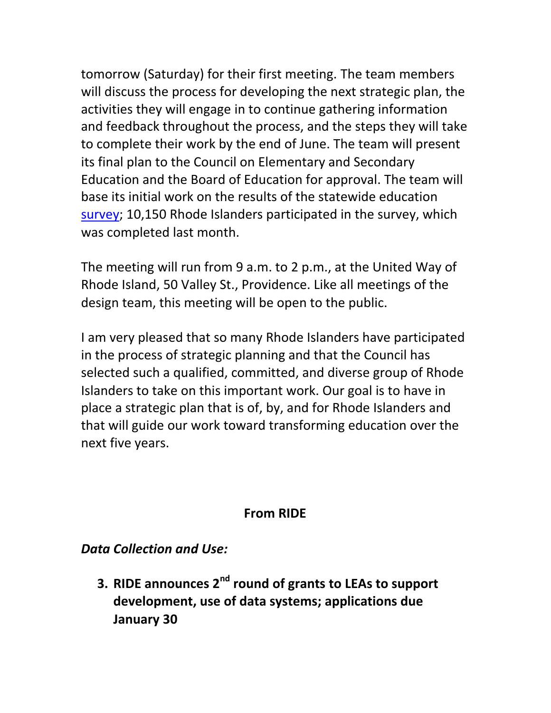tomorrow (Saturday) for their first meeting. The team members will discuss the process for developing the next strategic plan, the activities they will engage in to continue gathering information and feedback throughout the process, and the steps they will take to complete their work by the end of June. The team will present its final plan to the Council on Elementary and Secondary Education and the Board of Education for approval. The team will base its initial work on the results of the statewide education [survey;](http://www.ride.ri.gov/BoardofEducation/RI2015-2020StrategicPlanforEducation.aspx#23854-survey-results) 10,150 Rhode Islanders participated in the survey, which was completed last month.

The meeting will run from 9 a.m. to 2 p.m., at the United Way of Rhode Island, 50 Valley St., Providence. Like all meetings of the design team, this meeting will be open to the public.

I am very pleased that so many Rhode Islanders have participated in the process of strategic planning and that the Council has selected such a qualified, committed, and diverse group of Rhode Islanders to take on this important work. Our goal is to have in place a strategic plan that is of, by, and for Rhode Islanders and that will guide our work toward transforming education over the next five years.

### **From RIDE**

*Data Collection and Use:* 

<span id="page-3-0"></span>**3. RIDE announces 2nd round of grants to LEAs to support development, use of data systems; applications due January 30**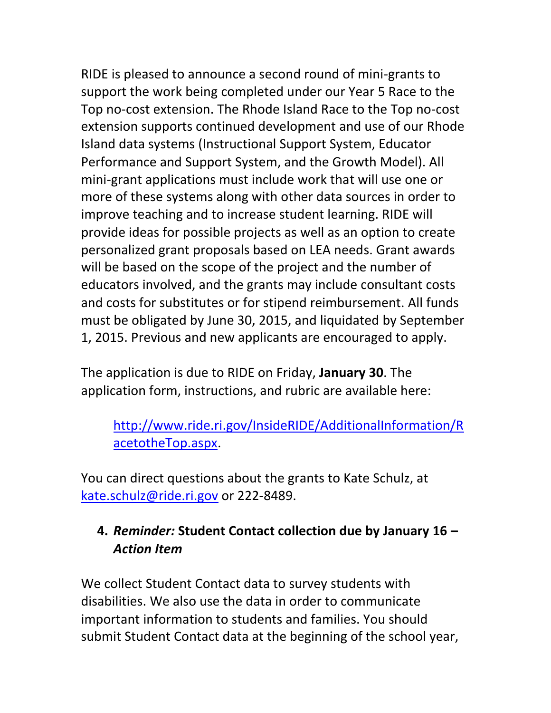RIDE is pleased to announce a second round of mini-grants to support the work being completed under our Year 5 Race to the Top no-cost extension. The Rhode Island Race to the Top no-cost extension supports continued development and use of our Rhode Island data systems (Instructional Support System, Educator Performance and Support System, and the Growth Model). All mini-grant applications must include work that will use one or more of these systems along with other data sources in order to improve teaching and to increase student learning. RIDE will provide ideas for possible projects as well as an option to create personalized grant proposals based on LEA needs. Grant awards will be based on the scope of the project and the number of educators involved, and the grants may include consultant costs and costs for substitutes or for stipend reimbursement. All funds must be obligated by June 30, 2015, and liquidated by September 1, 2015. Previous and new applicants are encouraged to apply.

The application is due to RIDE on Friday, **January 30**. The application form, instructions, and rubric are available here:

[http://www.ride.ri.gov/InsideRIDE/AdditionalInformation/R](http://www.ride.ri.gov/InsideRIDE/AdditionalInformation/RacetotheTop.aspx) [acetotheTop.aspx.](http://www.ride.ri.gov/InsideRIDE/AdditionalInformation/RacetotheTop.aspx)

You can direct questions about the grants to Kate Schulz, at [kate.schulz@ride.ri.gov](mailto:kate.schulz@ride.ri.gov) or 222-8489.

## <span id="page-4-0"></span>**4.** *Reminder:* **Student Contact collection due by January 16 –** *Action Item*

We collect Student Contact data to survey students with disabilities. We also use the data in order to communicate important information to students and families. You should submit Student Contact data at the beginning of the school year,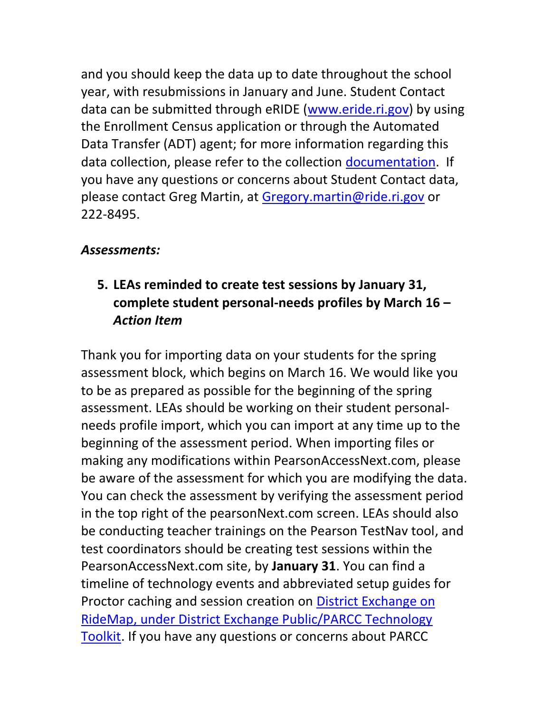and you should keep the data up to date throughout the school year, with resubmissions in January and June. Student Contact data can be submitted through eRIDE [\(www.eride.ri.gov\)](http://www.eride.ri.gov/) by using the Enrollment Census application or through the Automated Data Transfer (ADT) agent; for more information regarding this data collection, please refer to the collection [documentation.](http://www.ride.ri.gov/Portals/0/Uploads/Documents/Information-and-Accountability-User-Friendly-Data/Data-Resources/Data-Collections/StudentContactCollection.pdf) If you have any questions or concerns about Student Contact data, please contact Greg Martin, at [Gregory.martin@ride.ri.gov](mailto:Gregory.martin@ride.ri.gov) or 222-8495.

#### *Assessments:*

# <span id="page-5-0"></span>**5. LEAs reminded to create test sessions by January 31, complete student personal-needs profiles by March 16 –** *Action Item*

Thank you for importing data on your students for the spring assessment block, which begins on March 16. We would like you to be as prepared as possible for the beginning of the spring assessment. LEAs should be working on their student personalneeds profile import, which you can import at any time up to the beginning of the assessment period. When importing files or making any modifications within PearsonAccessNext.com, please be aware of the assessment for which you are modifying the data. You can check the assessment by verifying the assessment period in the top right of the pearsonNext.com screen. LEAs should also be conducting teacher trainings on the Pearson TestNav tool, and test coordinators should be creating test sessions within the PearsonAccessNext.com site, by **January 31**. You can find a timeline of technology events and abbreviated setup guides for Proctor caching and session creation on **District Exchange on** [RideMap, under District Exchange Public/PARCC Technology](https://ridemap.ride.ri.gov/DistrictExchange/District%20Exchange%20Public/Forms/AllItems.aspx?RootFolder=%2FDistrictExchange%2FDistrict%20Exchange%20Public%2FPARCC%20Technology%20Toolkit&FolderCTID=0x012000F64DEBB3273E664BB378783F12880F48&View=%7b460D0E9C-B642-4E9C-9E7D-4E6866F54820%7d)  [Toolkit.](https://ridemap.ride.ri.gov/DistrictExchange/District%20Exchange%20Public/Forms/AllItems.aspx?RootFolder=%2FDistrictExchange%2FDistrict%20Exchange%20Public%2FPARCC%20Technology%20Toolkit&FolderCTID=0x012000F64DEBB3273E664BB378783F12880F48&View=%7b460D0E9C-B642-4E9C-9E7D-4E6866F54820%7d) If you have any questions or concerns about PARCC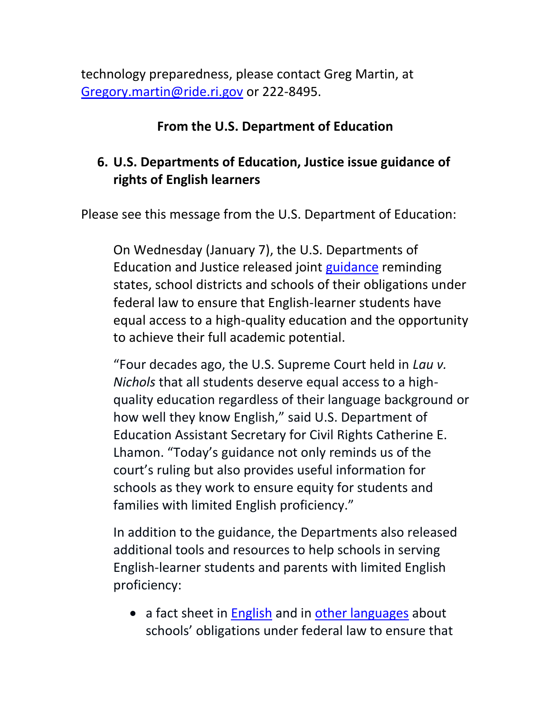technology preparedness, please contact Greg Martin, at [Gregory.martin@ride.ri.gov](mailto:Gregory.martin@ride.ri.gov) or 222-8495.

#### **From the U.S. Department of Education**

## <span id="page-6-0"></span>**6. U.S. Departments of Education, Justice issue guidance of rights of English learners**

Please see this message from the U.S. Department of Education:

On Wednesday (January 7), the U.S. Departments of Education and Justice released joint [guidance](http://www2.ed.gov/about/offices/list/ocr/letters/colleague-el-201501.pdf) reminding states, school districts and schools of their obligations under federal law to ensure that English-learner students have equal access to a high-quality education and the opportunity to achieve their full academic potential.

"Four decades ago, the U.S. Supreme Court held in *Lau v. Nichols* that all students deserve equal access to a highquality education regardless of their language background or how well they know English," said U.S. Department of Education Assistant Secretary for Civil Rights Catherine E. Lhamon. "Today's guidance not only reminds us of the court's ruling but also provides useful information for schools as they work to ensure equity for students and families with limited English proficiency."

In addition to the guidance, the Departments also released additional tools and resources to help schools in serving English-learner students and parents with limited English proficiency:

• a fact sheet in [English](http://www2.ed.gov/about/offices/list/ocr/docs/dcl-factsheet-el-students-201501.pdf) and in [other languages](http://www2.ed.gov/about/offices/list/ocr/ellresources.html) about schools' obligations under federal law to ensure that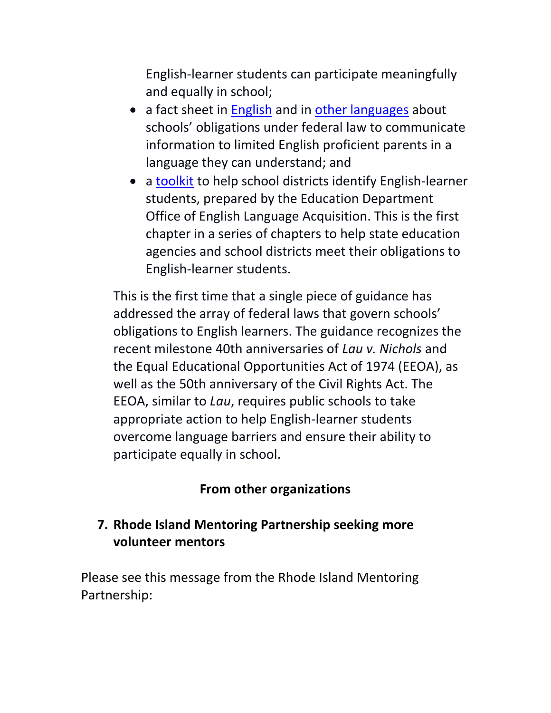English-learner students can participate meaningfully and equally in school;

- a fact sheet in [English](http://www2.ed.gov/about/offices/list/ocr/docs/dcl-factsheet-lep-parents-201501.pdf) and in [other languages](http://www2.ed.gov/about/offices/list/ocr/ellresources.html) about schools' obligations under federal law to communicate information to limited English proficient parents in a language they can understand; and
- a [toolkit](http://www2.ed.gov/about/offices/list/oela/eltoolkitchap1.pdf) to help school districts identify English-learner students, prepared by the Education Department Office of English Language Acquisition. This is the first chapter in a series of chapters to help state education agencies and school districts meet their obligations to English-learner students.

This is the first time that a single piece of guidance has addressed the array of federal laws that govern schools' obligations to English learners. The guidance recognizes the recent milestone 40th anniversaries of *Lau v. Nichols* and the Equal Educational Opportunities Act of 1974 (EEOA), as well as the 50th anniversary of the Civil Rights Act. The EEOA, similar to *Lau*, requires public schools to take appropriate action to help English-learner students overcome language barriers and ensure their ability to participate equally in school.

# **From other organizations**

## <span id="page-7-0"></span>**7. Rhode Island Mentoring Partnership seeking more volunteer mentors**

Please see this message from the Rhode Island Mentoring Partnership: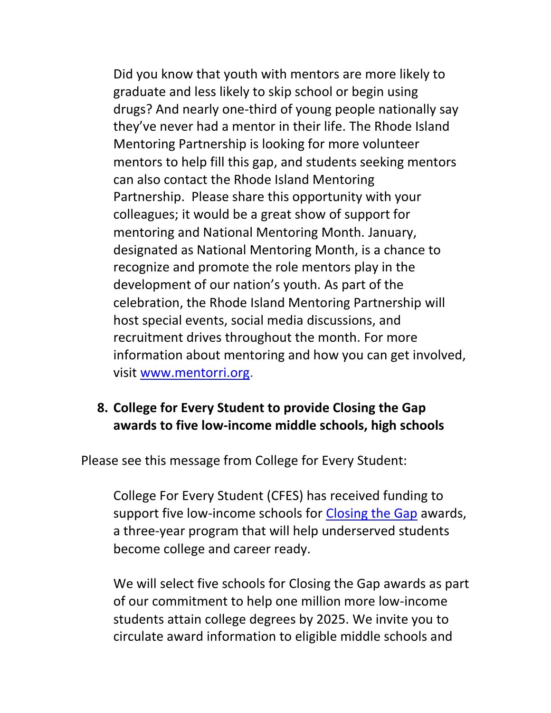Did you know that youth with mentors are more likely to graduate and less likely to skip school or begin using drugs? And nearly one-third of young people nationally say they've never had a mentor in their life. The Rhode Island Mentoring Partnership is looking for more volunteer mentors to help fill this gap, and students seeking mentors can also contact the Rhode Island Mentoring Partnership. Please share this opportunity with your colleagues; it would be a great show of support for mentoring and National Mentoring Month. January, designated as National Mentoring Month, is a chance to recognize and promote the role mentors play in the development of our nation's youth. As part of the celebration, the Rhode Island Mentoring Partnership will host special events, social media discussions, and recruitment drives throughout the month. For more information about mentoring and how you can get involved, visit [www.mentorri.org.](http://www.mentorri.org/)

### <span id="page-8-0"></span>**8. College for Every Student to provide Closing the Gap awards to five low-income middle schools, high schools**

Please see this message from College for Every Student:

College For Every Student (CFES) has received funding to support five low-income schools for [Closing the Gap](http://www.collegefes.org/one-million-more.php) awards, a three-year program that will help underserved students become college and career ready.

We will select five schools for Closing the Gap awards as part of our commitment to help one million more low-income students attain college degrees by 2025. We invite you to circulate award information to eligible middle schools and